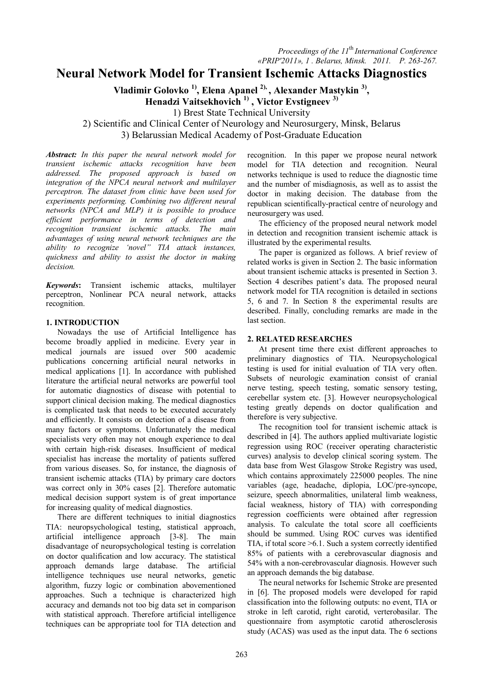# **Neural Network Model for Transient Ischemic Attacks Diagnostics**

**Vladimir Golovko 1), Elena Apanel 2), , Alexander Mastykin 3) ,** 

**Henadzi Vaitsekhovich 1) , Victor Evstigneev 3)**

1) Brest State Technical University

2) Scientific and Clinical Center of Neurology and Neurosurgery, Minsk, Belarus 3) Belarussian Medical Academy of Post-Graduate Education

*Abstract: In this paper the neural network model for transient ischemic attacks recognition have been addressed. The proposed approach is based on integration of the NPCA neural network and multilayer perceptron. The dataset from clinic have been used for experiments performing. Combining two different neural networks (NPCA and MLP) it is possible to produce efficient performance in terms of detection and recognition transient ischemic attacks. The main advantages of using neural network techniques are the ability to recognize 'novel" TIA attack instances, quickness and ability to assist the doctor in making decision.*

*Keywords***:** Transient ischemic attacks, multilayer perceptron, Nonlinear PCA neural network, attacks recognition.

## **1. INTRODUCTION**

Nowadays the use of Artificial Intelligence has become broadly applied in medicine. Every year in medical journals are issued over 500 academic publications concerning artificial neural networks in medical applications [1]. In accordance with published literature the artificial neural networks are powerful tool for automatic diagnostics of disease with potential to support clinical decision making. The medical diagnostics is complicated task that needs to be executed accurately and efficiently. It consists on detection of a disease from many factors or symptoms. Unfortunately the medical specialists very often may not enough experience to deal with certain high-risk diseases. Insufficient of medical specialist has increase the mortality of patients suffered from various diseases. So, for instance, the diagnosis of transient ischemic attacks (TIA) by primary care doctors was correct only in 30% cases [2]. Therefore automatic medical decision support system is of great importance for increasing quality of medical diagnostics.

There are different techniques to initial diagnostics TIA: neuropsychological testing, statistical approach, artificial intelligence approach [3-8]. The main disadvantage of neuropsychological testing is correlation on doctor qualification and low accuracy. The statistical approach demands large database. The artificial intelligence techniques use neural networks, genetic algorithm, fuzzy logic or combination abovementioned approaches. Such a technique is characterized high accuracy and demands not too big data set in comparison with statistical approach. Therefore artificial intelligence techniques can be appropriate tool for TIA detection and

recognition. In this paper we propose neural network model for TIA detection and recognition. Neural networks technique is used to reduce the diagnostic time and the number of misdiagnosis, as well as to assist the doctor in making decision. The database from the republican scientifically-practical centre of neurology and neurosurgery was used.

The efficiency of the proposed neural network model in detection and recognition transient ischemic attack is illustrated by the experimental results.

The paper is organized as follows. A brief review of related works is given in Section 2. The basic information about transient ischemic attacks is presented in Section 3. Section 4 describes patient's data. The proposed neural network model for TIA recognition is detailed in sections 5, 6 and 7. In Section 8 the experimental results are described. Finally, concluding remarks are made in the last section.

## **2. RELATED RESEARCHES**

At present time there exist different approaches to preliminary diagnostics of TIA. Neuropsychological testing is used for initial evaluation of TIA very often. Subsets of neurologic examination consist of cranial nerve testing, speech testing, somatic sensory testing, cerebellar system etc. [3]. However neuropsychological testing greatly depends on doctor qualification and therefore is very subjective.

The recognition tool for transient ischemic attack is described in [4]. The authors applied multivariate logistic regression using ROC (receiver operating characteristic curves) analysis to develop clinical scoring system. The data base from West Glasgow Stroke Registry was used, which contains approximately 225000 peoples. The nine variables (age, headache, diplopia, LOC/pre-syncope, seizure, speech abnormalities, unilateral limb weakness, facial weakness, history of TIA) with corresponding regression coefficients were obtained after regression analysis. To calculate the total score all coefficients should be summed. Using ROC curves was identified TIA, if total score >6.1. Such a system correctly identified 85% of patients with a cerebrovascular diagnosis and 54% with a non-cerebrovascular diagnosis. However such an approach demands the big database.

The neural networks for Ischemic Stroke are presented in [6]. The proposed models were developed for rapid classification into the following outputs: no event, TIA or stroke in left carotid, right carotid, verterobasilar. The questionnaire from asymptotic carotid atherosclerosis study (ACAS) was used as the input data. The 6 sections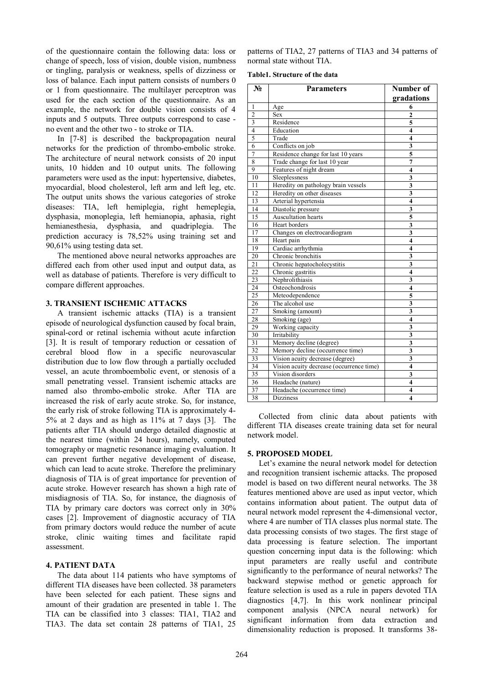of the questionnaire contain the following data: loss or change of speech, loss of vision, double vision, numbness or tingling, paralysis or weakness, spells of dizziness or loss of balance. Each input pattern consists of numbers 0 or 1 from questionnaire. The multilayer perceptron was used for the each section of the questionnaire. As an example, the network for double vision consists of 4 inputs and 5 outputs. Three outputs correspond to case no event and the other two - to stroke or TIA.

In [7-8] is described the backpropagation neural networks for the prediction of thrombo-embolic stroke. The architecture of neural network consists of 20 input units, 10 hidden and 10 output units. The following parameters were used as the input: hypertensive, diabetes, myocardial, blood cholesterol, left arm and left leg, etc. The output units shows the various categories of stroke diseases: TIA, left hemiplegia, right hemeplegia, dysphasia, monoplegia, left hemianopia, aphasia, right hemianesthesia, dysphasia, and quadriplegia. The prediction accuracy is 78,52% using training set and 90,61% using testing data set.

The mentioned above neural networks approaches are differed each from other used input and output data, as well as database of patients. Therefore is very difficult to compare different approaches.

## **3. TRANSIENT ISCHEMIC ATTACKS**

A transient ischemic attacks (TIA) is a transient episode of neurological dysfunction caused by focal brain, spinal-cord or retinal ischemia without acute infarction [3]. It is result of temporary reduction or cessation of cerebral blood flow in a specific neurovascular distribution due to low flow through a partially occluded vessel, an acute thromboembolic event, or stenosis of a small penetrating vessel. Transient ischemic attacks are named also thrombo-embolic stroke. After TIA are increased the risk of early acute stroke. So, for instance, the early risk of stroke following TIA is approximately 4- 5% at 2 days and as high as 11% at 7 days [3]. The patients after TIA should undergo detailed diagnostic at the nearest time (within 24 hours), namely, computed tomography or magnetic resonance imaging evaluation. It can prevent further negative development of disease, which can lead to acute stroke. Therefore the preliminary diagnosis of TIA is of great importance for prevention of acute stroke. However research has shown a high rate of misdiagnosis of TIA. So, for instance, the diagnosis of TIA by primary care doctors was correct only in 30% cases [2]. Improvement of diagnostic accuracy of TIA from primary doctors would reduce the number of acute stroke, clinic waiting times and facilitate rapid assessment.

## **4. PATIENT DATA**

The data about 114 patients who have symptoms of different TIA diseases have been collected. 38 parameters have been selected for each patient. These signs and amount of their gradation are presented in table 1. The TIA can be classified into 3 classes: TIA1, TIA2 and TIA3. The data set contain 28 patterns of TIA1, 25

patterns of TIA2, 27 patterns of TIA3 and 34 patterns of normal state without TIA.

**Table1. Structure of the data** 

| $N_2$           | <b>Parameters</b>                        | Number of<br>gradations |
|-----------------|------------------------------------------|-------------------------|
| 1               | Age                                      | 6                       |
| $\overline{2}$  | <b>Sex</b>                               | $\overline{2}$          |
| $\overline{3}$  | Residence                                | 5                       |
| $\overline{4}$  | Education                                | 4                       |
| 5               | Trade                                    | 4                       |
| 6               | Conflicts on job                         | 3                       |
| 7               | Residence change for last 10 years       | 5                       |
| 8               | Trade change for last 10 year            | $\overline{7}$          |
| $\overline{9}$  | Features of night dream                  | $\overline{4}$          |
| 10              | Sleeplessness                            | 3                       |
| 11              | Heredity on pathology brain vessels      | 3                       |
| 12              | Heredity on other diseases               | 3                       |
| 13              | Arterial hypertensia                     | $\overline{\mathbf{4}}$ |
| 14              | Diastolic pressure                       | $\overline{\mathbf{3}}$ |
| $\overline{15}$ | Auscultation hearts                      | 5                       |
| 16              | Heart borders                            | 3                       |
| 17              | Changes on electrocardiogram             | 3                       |
| 18              | Heart pain                               | $\overline{\mathbf{4}}$ |
| 19              | Cardiac arrhythmia                       | $\overline{\mathbf{4}}$ |
| 20              | Chronic bronchitis                       | $\overline{\mathbf{3}}$ |
| 21              | Chronic hepatocholecystitis              | $\overline{\mathbf{3}}$ |
| $\overline{22}$ | Chronic gastritis                        | $\overline{\mathbf{4}}$ |
| 23              | Nephrolithiasis                          | 3                       |
| 24              | Osteochondrosis                          | $\overline{4}$          |
| 25              | Meteodependence                          | 5                       |
| 26              | The alcohol use                          | 3                       |
| $\overline{27}$ | Smoking (amount)                         | $\overline{\mathbf{3}}$ |
| 28              | Smoking (age)                            | $\overline{\mathbf{4}}$ |
| 29              | Working capacity                         | 3                       |
| 30              | Irritability                             | $\overline{\mathbf{3}}$ |
| 31              | Memory decline (degree)                  | $\overline{\mathbf{3}}$ |
| $\overline{32}$ | Memory decline (occurrence time)         | $\overline{\mathbf{3}}$ |
| 33              | Vision acuity decrease (degree)          | $\overline{\mathbf{3}}$ |
| 34              | Vision acuity decrease (occurrence time) | $\overline{\mathbf{4}}$ |
| 35              | Vision disorders                         | $\overline{\mathbf{3}}$ |
| 36              | Headache (nature)                        | $\overline{\mathbf{4}}$ |
| 37              | Headache (occurrence time)               | $\overline{\mathbf{4}}$ |
| 38              | Dizziness                                | $\overline{\mathbf{4}}$ |

Collected from clinic data about patients with different TIA diseases create training data set for neural network model.

## **5. PROPOSED MODEL**

Let's examine the neural network model for detection and recognition transient ischemic attacks. The proposed model is based on two different neural networks. The 38 features mentioned above are used as input vector, which contains information about patient. The output data of neural network model represent the 4-dimensional vector, where 4 are number of TIA classes plus normal state. The data processing consists of two stages. The first stage of data processing is feature selection. The important question concerning input data is the following: which input parameters are really useful and contribute significantly to the performance of neural networks? The backward stepwise method or genetic approach for feature selection is used as a rule in papers devoted TIA diagnostics [4,7]. In this work nonlinear principal component analysis (NPCA neural network) for significant information from data extraction and dimensionality reduction is proposed. It transforms 38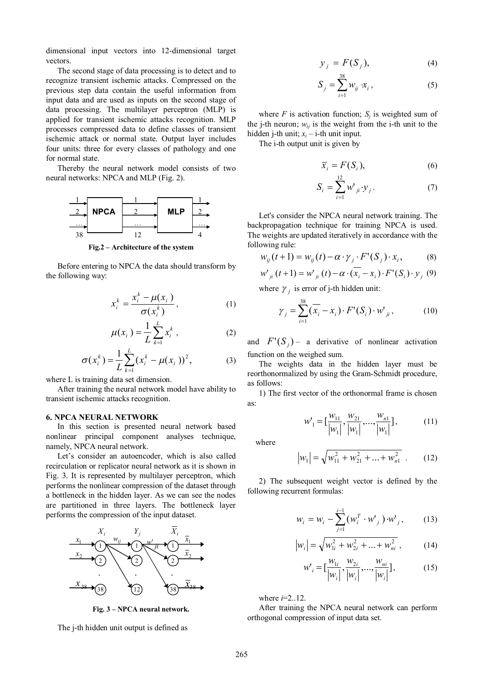dimensional input vectors into 12-dimensional target vectors.

The second stage of data processing is to detect and to recognize transient ischemic attacks. Compressed on the previous step data contain the useful information from input data and are used as inputs on the second stage of data processing. The multilayer perceptron (MLP) is applied for transient ischemic attacks recognition. MLP processes compressed data to define classes of transient ischemic attack or normal state. Output layer includes four units: three for every classes of pathology and one for normal state.

Thereby the neural network model consists of two neural networks: NPCA and MLP (Fig. 2).



**Fig.2 – Architecture of the system**

Before entering to NPCA the data should transform by the following way:

$$
x_i^k = \frac{x_i^k - \mu(x_i)}{\sigma(x_i^k)},
$$
\n(1)

$$
\mu(x_i) = \frac{1}{L} \sum_{k=1}^{L} x_i^k, \qquad (2)
$$

$$
\sigma(x_i^k) = \frac{1}{L} \sum_{k=1}^{L} (x_i^k - \mu(x_i))^2, \tag{3}
$$

where L is training data set dimension.

After training the neural network model have ability to transient ischemic attacks recognition.

#### **6. NPCA NEURAL NETWORK**

In this section is presented neural network based nonlinear principal component analyses technique, namely, NPCA neural network.

Let's consider an autoencoder, which is also called recirculation or replicator neural network as it is shown in Fig. 3. It is represented by multilayer perceptron, which performs the nonlinear compression of the dataset through a bottleneck in the hidden layer. As we can see the nodes are partitioned in three layers. The bottleneck layer performs the compression of the input dataset.



**Fig. 3 – NPCA neural network.**

The j-th hidden unit output is defined as

$$
y_j = F(S_j), \tag{4}
$$

$$
S_j = \sum_{i=1}^{38} w_{ij} \cdot x_i, \qquad (5)
$$

where  $F$  is activation function;  $S_j$  is weighted sum of the *j*-th neuron;  $w_{ij}$  is the weight from the *j*-th unit to the hidden *j*-th unit;  $x_i$  – *i*-th unit input.

The i-th output unit is given by

$$
\overline{x}_i = F(S_i),\tag{6}
$$

$$
S_i = \sum_{i=1}^{12} w^i_{ji} \cdot \mathcal{Y}_j \,. \tag{7}
$$

Let's consider the NPCA neural network training. The backpropagation technique for training NPCA is used. The weights are updated iteratively in accordance with the following rule:

$$
w_{ij}(t+1) = w_{ij}(t) - \alpha \cdot \gamma_j \cdot F'(S_j) \cdot x_i, \qquad (8)
$$

$$
w'_{ji}(t+1) = w'_{ji}(t) - \alpha \cdot (\overline{x_i} - x_i) \cdot F'(S_i) \cdot y_j \tag{9}
$$

where  $\gamma_j$  is error of j-th hidden unit:

$$
\gamma_j = \sum_{i=1}^{38} (\overline{x_i} - x_i) \cdot F'(S_i) \cdot w'_{ji},
$$
 (10)

and  $F'(S_j)$  – a derivative of nonlinear activation function on the weighed sum.

The weights data in the hidden layer must be reorthonormalized by using the Gram-Schmidt procedure, as follows:

1) The first vector of the orthonormal frame is chosen as:

$$
w_1' = \left[\frac{w_{11}}{|w_1|}, \frac{w_{21}}{|w_1|}, \dots, \frac{w_{n1}}{|w_1|}\right],\tag{11}
$$

where

$$
|w_1| = \sqrt{w_{11}^2 + w_{21}^2 + \dots + w_{n1}^2} \quad . \tag{12}
$$

2) The subsequent weight vector is defined by the following recurrent formulas:

$$
w_i = w_i - \sum_{j=1}^{i-1} (w_i^T \cdot w_j^T) \cdot w_j^T, \qquad (13)
$$

$$
|w_i| = \sqrt{w_{1i}^2 + w_{2i}^2 + \dots + w_{ni}^2},
$$
 (14)

$$
w'_{i} = \left[\frac{w_{1i}}{|w_{i}|}, \frac{w_{2i}}{|w_{i}|}, \dots, \frac{w_{ni}}{|w_{i}|}\right],
$$
 (15)

where *i*=2..12.

After training the NPCA neural network can perform orthogonal compression of input data set.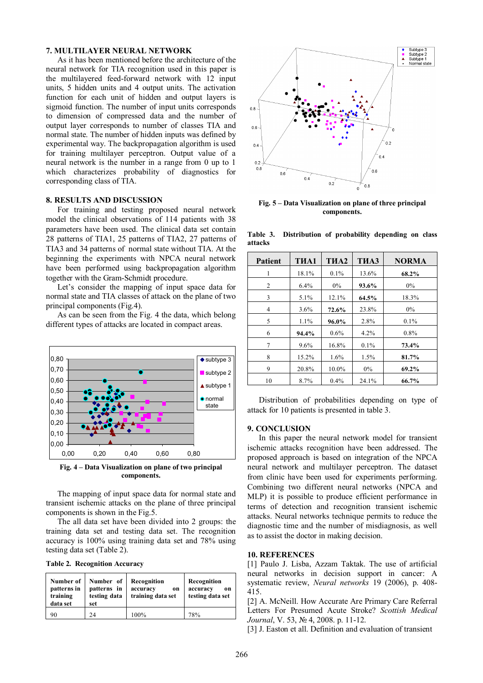### **7. MULTILAYER NEURAL NETWORK**

As it has been mentioned before the architecture of the neural network for TIA recognition used in this paper is the multilayered feed-forward network with 12 input units, 5 hidden units and 4 output units. The activation function for each unit of hidden and output layers is sigmoid function. The number of input units corresponds to dimension of compressed data and the number of output layer corresponds to number of classes TIA and normal state. The number of hidden inputs was defined by experimental way. The backpropagation algorithm is used for training multilayer perceptron. Output value of a neural network is the number in a range from 0 up to 1 which characterizes probability of diagnostics for corresponding class of TIA.

## **8. RESULTS AND DISCUSSION**

For training and testing proposed neural network model the clinical observations of 114 patients with 38 parameters have been used. The clinical data set contain 28 patterns of TIA1, 25 patterns of TIA2, 27 patterns of TIA3 and 34 patterns of normal state without TIA. At the beginning the experiments with NPCA neural network have been performed using backpropagation algorithm together with the Gram-Schmidt procedure.

Let's consider the mapping of input space data for normal state and TIA classes of attack on the plane of two principal components (Fig.4).

As can be seen from the Fig. 4 the data, which belong different types of attacks are located in compact areas.



**Fig. 4 – Data Visualization on plane of two principal components.**

The mapping of input space data for normal state and transient ischemic attacks on the plane of three principal components is shown in the Fig.5.

The all data set have been divided into 2 groups: the training data set and testing data set. The recognition accuracy is 100% using training data set and 78% using testing data set (Table 2).

**Table 2. Recognition Accuracy**

| Number of   | Number of    | Recognition       | Recognition      |
|-------------|--------------|-------------------|------------------|
| patterns in | patterns in  | accuracy          | accuracy         |
| training    | testing data | <sub>on</sub>     | on               |
| data set    | set          | training data set | testing data set |
| 90          | 24           | 100%              | 78%              |



**Fig. 5 – Data Visualization on plane of three principal components.**

**Table 3. Distribution of probability depending on class attacks**

| <b>Patient</b> | T <sub>M</sub> A1 | T <sub>N</sub> A <sub>2</sub> | THA3  | <b>NORMA</b> |
|----------------|-------------------|-------------------------------|-------|--------------|
| 1              | 18.1%             | $0.1\%$                       | 13.6% | 68.2%        |
| 2              | 6.4%              | $0\%$                         | 93.6% | 0%           |
| 3              | 5.1%              | 12.1%                         | 64.5% | 18.3%        |
| 4              | 3.6%              | 72.6%                         | 23.8% | $0\%$        |
| 5              | 1.1%              | 96.0%                         | 2.8%  | 0.1%         |
| 6              | 94.4%             | $0.6\%$                       | 4.2%  | $0.8\%$      |
| 7              | 9.6%              | 16.8%                         | 0.1%  | 73.4%        |
| 8              | 15.2%             | 1.6%                          | 1.5%  | 81.7%        |
| 9              | 20.8%             | 10.0%                         | $0\%$ | 69.2%        |
| 10             | 8.7%              | 0.4%                          | 24.1% | 66.7%        |

Distribution of probabilities depending on type of attack for 10 patients is presented in table 3.

### **9. CONCLUSION**

In this paper the neural network model for transient ischemic attacks recognition have been addressed. The proposed approach is based on integration of the NPCA neural network and multilayer perceptron. The dataset from clinic have been used for experiments performing. Combining two different neural networks (NPCA and MLP) it is possible to produce efficient performance in terms of detection and recognition transient ischemic attacks. Neural networks technique permits to reduce the diagnostic time and the number of misdiagnosis, as well as to assist the doctor in making decision.

#### **10. REFERENCES**

[1] Paulo J. Lisba, Azzam Taktak. The use of artificial neural networks in decision support in cancer: A systematic review, *Neural networks* 19 (2006), p. 408- 415.

[2] A. McNeill. How Accurate Are Primary Care Referral Letters For Presumed Acute Stroke? *Scottish Medical Journal*, V. 53, № 4, 2008. p. 11-12.

[3] J. Easton et all. Definition and evaluation of transient